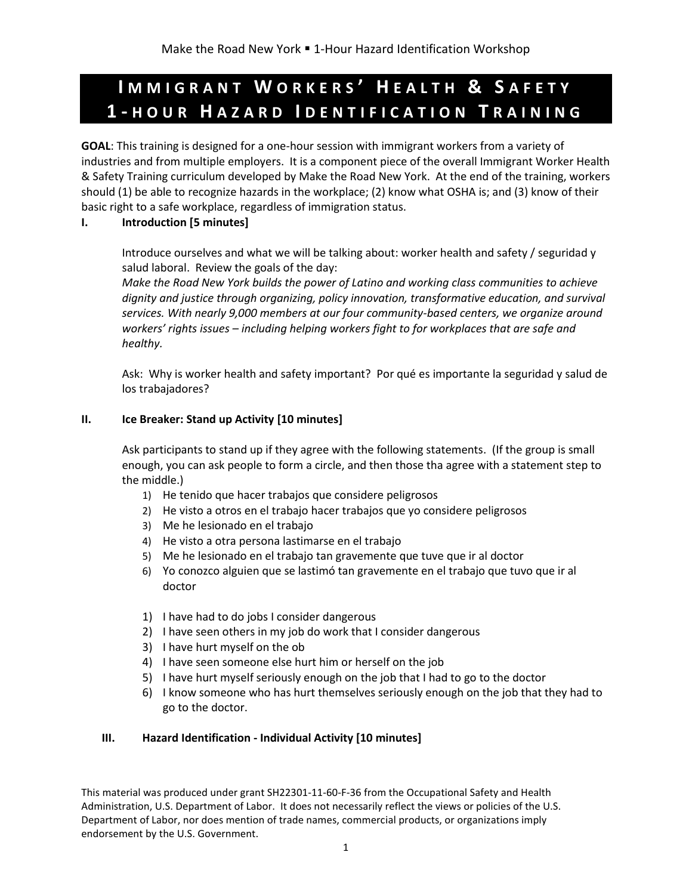# **I M M I G R A N T W O R K E R S ' H E A L T H & S A F E T Y 1 - H O U R H A Z A R D I D E N T I F I C A T I O N T R A I N I N G**

**GOAL**: This training is designed for a one-hour session with immigrant workers from a variety of industries and from multiple employers. It is a component piece of the overall Immigrant Worker Health & Safety Training curriculum developed by Make the Road New York. At the end of the training, workers should (1) be able to recognize hazards in the workplace; (2) know what OSHA is; and (3) know of their basic right to a safe workplace, regardless of immigration status.

# **I. Introduction [5 minutes]**

Introduce ourselves and what we will be talking about: worker health and safety / seguridad y salud laboral. Review the goals of the day:

*Make the Road New York builds the power of Latino and working class communities to achieve dignity and justice through organizing, policy innovation, transformative education, and survival services. With nearly 9,000 members at our four community-based centers, we organize around workers' rights issues – including helping workers fight to for workplaces that are safe and healthy.* 

Ask: Why is worker health and safety important? Por qué es importante la seguridad y salud de los trabajadores?

# **II. Ice Breaker: Stand up Activity [10 minutes]**

Ask participants to stand up if they agree with the following statements. (If the group is small enough, you can ask people to form a circle, and then those tha agree with a statement step to the middle.)

- 1) He tenido que hacer trabajos que considere peligrosos
- 2) He visto a otros en el trabajo hacer trabajos que yo considere peligrosos
- 3) Me he lesionado en el trabajo
- 4) He visto a otra persona lastimarse en el trabajo
- 5) Me he lesionado en el trabajo tan gravemente que tuve que ir al doctor
- 6) Yo conozco alguien que se lastimó tan gravemente en el trabajo que tuvo que ir al doctor
- 1) I have had to do jobs I consider dangerous
- 2) I have seen others in my job do work that I consider dangerous
- 3) I have hurt myself on the ob
- 4) I have seen someone else hurt him or herself on the job
- 5) I have hurt myself seriously enough on the job that I had to go to the doctor
- 6) I know someone who has hurt themselves seriously enough on the job that they had to go to the doctor.

# **III. Hazard Identification - Individual Activity [10 minutes]**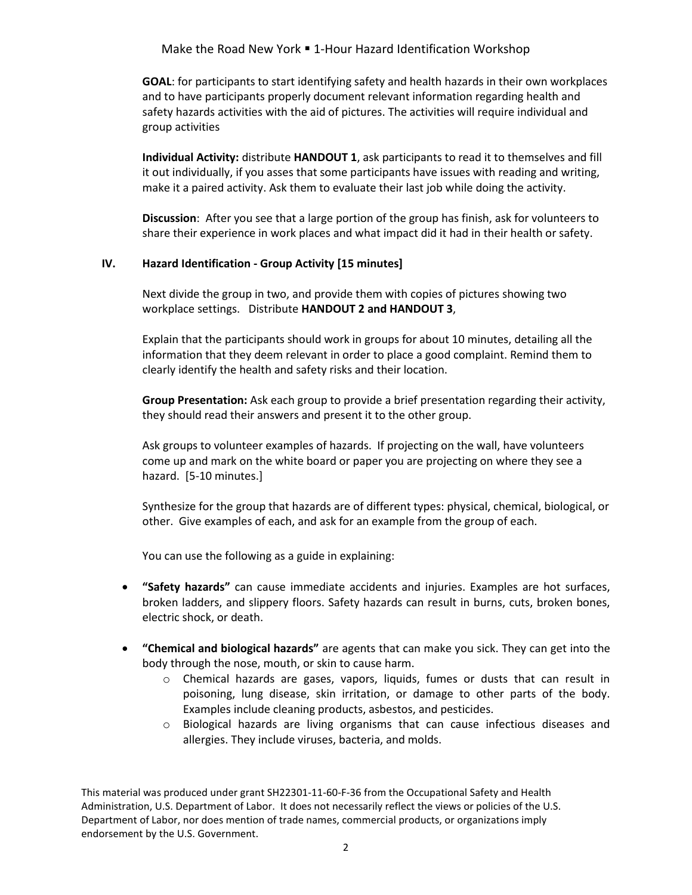# Make the Road New York . 1-Hour Hazard Identification Workshop

**GOAL**: for participants to start identifying safety and health hazards in their own workplaces and to have participants properly document relevant information regarding health and safety hazards activities with the aid of pictures. The activities will require individual and group activities

**Individual Activity:** distribute **HANDOUT 1**, ask participants to read it to themselves and fill it out individually, if you asses that some participants have issues with reading and writing, make it a paired activity. Ask them to evaluate their last job while doing the activity.

**Discussion**: After you see that a large portion of the group has finish, ask for volunteers to share their experience in work places and what impact did it had in their health or safety.

# **IV. Hazard Identification - Group Activity [15 minutes]**

Next divide the group in two, and provide them with copies of pictures showing two workplace settings. Distribute **HANDOUT 2 and HANDOUT 3**,

Explain that the participants should work in groups for about 10 minutes, detailing all the information that they deem relevant in order to place a good complaint. Remind them to clearly identify the health and safety risks and their location.

**Group Presentation:** Ask each group to provide a brief presentation regarding their activity, they should read their answers and present it to the other group.

Ask groups to volunteer examples of hazards. If projecting on the wall, have volunteers come up and mark on the white board or paper you are projecting on where they see a hazard. [5-10 minutes.]

Synthesize for the group that hazards are of different types: physical, chemical, biological, or other. Give examples of each, and ask for an example from the group of each.

You can use the following as a guide in explaining:

- **"Safety hazards"** can cause immediate accidents and injuries. Examples are hot surfaces, broken ladders, and slippery floors. Safety hazards can result in burns, cuts, broken bones, electric shock, or death.
- **"Chemical and biological hazards"** are agents that can make you sick. They can get into the body through the nose, mouth, or skin to cause harm.
	- o Chemical hazards are gases, vapors, liquids, fumes or dusts that can result in poisoning, lung disease, skin irritation, or damage to other parts of the body. Examples include cleaning products, asbestos, and pesticides.
	- $\circ$  Biological hazards are living organisms that can cause infectious diseases and allergies. They include viruses, bacteria, and molds.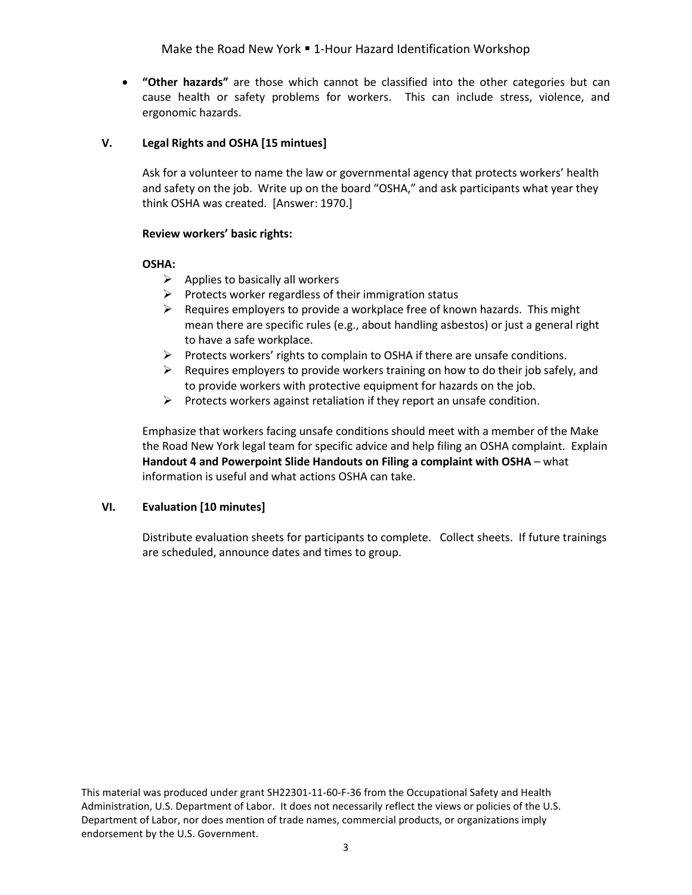Make the Road New York . 1-Hour Hazard Identification Workshop

 **"Other hazards"** are those which cannot be classified into the other categories but can cause health or safety problems for workers. This can include stress, violence, and ergonomic hazards.

# **V. Legal Rights and OSHA [15 mintues]**

Ask for a volunteer to name the law or governmental agency that protects workers' health and safety on the job. Write up on the board "OSHA," and ask participants what year they think OSHA was created. [Answer: 1970.]

# **Review workers' basic rights:**

# **OSHA:**

- $\triangleright$  Applies to basically all workers
- $\triangleright$  Protects worker regardless of their immigration status
- $\triangleright$  Requires employers to provide a workplace free of known hazards. This might mean there are specific rules (e.g., about handling asbestos) or just a general right to have a safe workplace.
- $\triangleright$  Protects workers' rights to complain to OSHA if there are unsafe conditions.
- $\triangleright$  Requires employers to provide workers training on how to do their job safely, and to provide workers with protective equipment for hazards on the job.
- $\triangleright$  Protects workers against retaliation if they report an unsafe condition.

Emphasize that workers facing unsafe conditions should meet with a member of the Make the Road New York legal team for specific advice and help filing an OSHA complaint. Explain **Handout 4 and Powerpoint Slide Handouts on Filing a complaint with OSHA** – what information is useful and what actions OSHA can take.

# **VI. Evaluation [10 minutes]**

Distribute evaluation sheets for participants to complete. Collect sheets. If future trainings are scheduled, announce dates and times to group.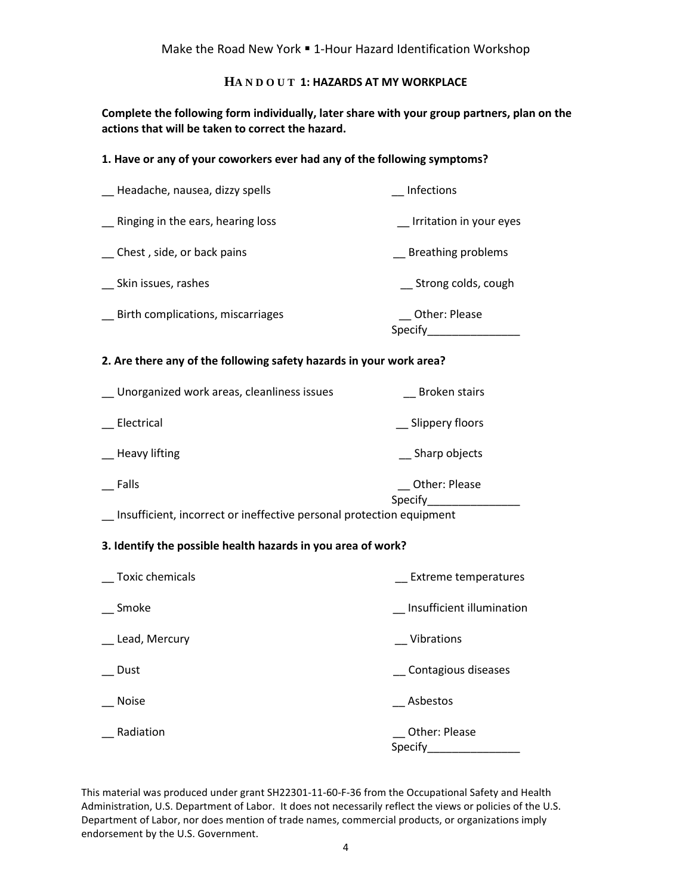# **HA N D O U T 1: HAZARDS AT MY WORKPLACE**

**Complete the following form individually, later share with your group partners, plan on the actions that will be taken to correct the hazard.**

#### **1. Have or any of your coworkers ever had any of the following symptoms?**

| _ Headache, nausea, dizzy spells  | <b>Infections</b>        |
|-----------------------------------|--------------------------|
| Ringing in the ears, hearing loss | Irritation in your eyes  |
| Chest, side, or back pains        | Breathing problems       |
| Skin issues, rashes               | Strong colds, cough      |
| Birth complications, miscarriages | Other: Please<br>Specify |

#### **2. Are there any of the following safety hazards in your work area?**

| Unorganized work areas, cleanliness issues                           | <b>Broken stairs</b>     |
|----------------------------------------------------------------------|--------------------------|
| Electrical                                                           | Slippery floors          |
| <b>Heavy lifting</b>                                                 | Sharp objects            |
| Falls                                                                | Other: Please<br>Specify |
| Incufficient, incorrect or ineffective personal protection equipment |                          |

# \_\_ Insufficient, incorrect or ineffective personal protection equipment

#### **3. Identify the possible health hazards in you area of work?**

| Toxic chemicals | <b>Extreme temperatures</b> |
|-----------------|-----------------------------|
| Smoke           | Insufficient illumination   |
| Lead, Mercury   | Vibrations                  |
| Dust            | Contagious diseases         |
| <b>Noise</b>    | Asbestos                    |
| Radiation       | Other: Please<br>Specify    |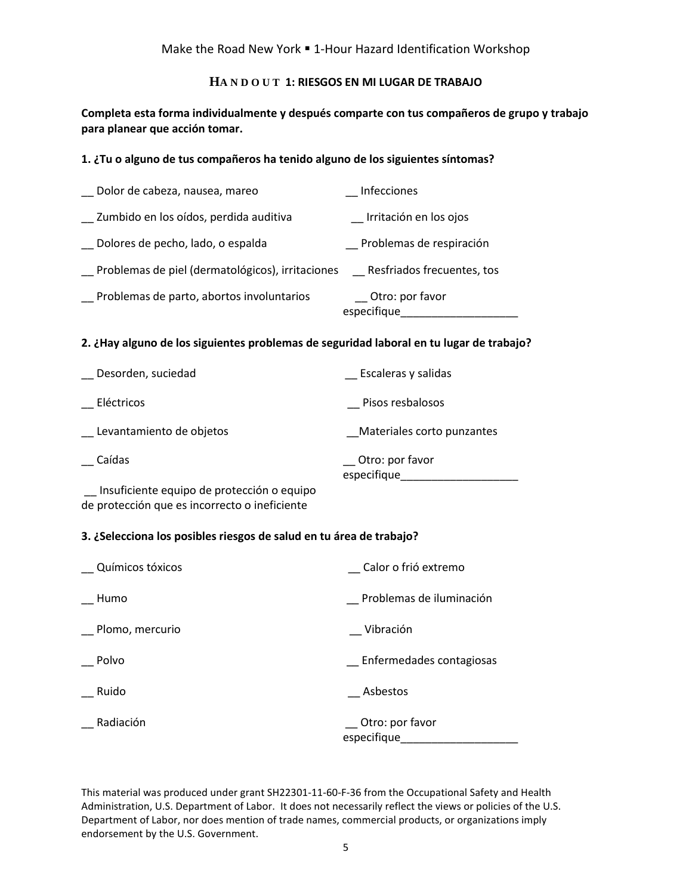# **HA N D O U T 1: RIESGOS EN MI LUGAR DE TRABAJO**

**Completa esta forma individualmente y después comparte con tus compañeros de grupo y trabajo para planear que acción tomar.**

# **1. ¿Tu o alguno de tus compañeros ha tenido alguno de los siguientes síntomas?**

| Dolor de cabeza, nausea, mareo                   | Infecciones                       |
|--------------------------------------------------|-----------------------------------|
| Zumbido en los oídos, perdida auditiva           | Irritación en los ojos            |
| Dolores de pecho, lado, o espalda                | Problemas de respiración          |
| Problemas de piel (dermatológicos), irritaciones | Resfriados frecuentes, tos        |
| Problemas de parto, abortos involuntarios        | __ Otro: por favor<br>especifique |

#### **2. ¿Hay alguno de los siguientes problemas de seguridad laboral en tu lugar de trabajo?**

| Desorden, suciedad       | Escaleras y salidas               |
|--------------------------|-----------------------------------|
| Eléctricos               | Pisos resbalosos                  |
| Levantamiento de objetos | Materiales corto punzantes        |
| Caídas                   | __ Otro: por favor<br>especifique |

\_\_ Insuficiente equipo de protección o equipo de protección que es incorrecto o ineficiente

#### **3. ¿Selecciona los posibles riesgos de salud en tu área de trabajo?**

| Químicos tóxicos | Calor o frió extremo           |
|------------------|--------------------------------|
| Humo             | Problemas de iluminación       |
| Plomo, mercurio  | Vibración                      |
| Polvo            | Enfermedades contagiosas       |
| Ruido            | Asbestos                       |
| Radiación        | Otro: por favor<br>especifique |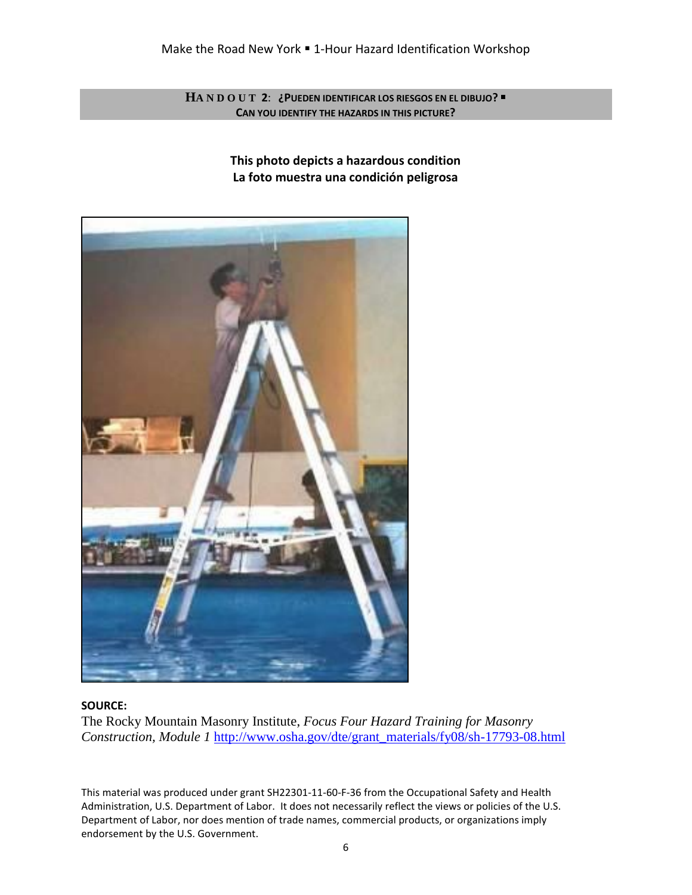**HA N D O U T 2**: **¿PUEDEN IDENTIFICAR LOS RIESGOS EN EL DIBUJO? CAN YOU IDENTIFY THE HAZARDS IN THIS PICTURE?**

> **This photo depicts a hazardous condition La foto muestra una condición peligrosa**



# **SOURCE:**

The Rocky Mountain Masonry Institute, *Focus Four Hazard Training for Masonry Construction, Module 1* [http://www.osha.gov/dte/grant\\_materials/fy08/sh-17793-08.html](http://www.osha.gov/dte/grant_materials/fy08/sh-17793-08.html)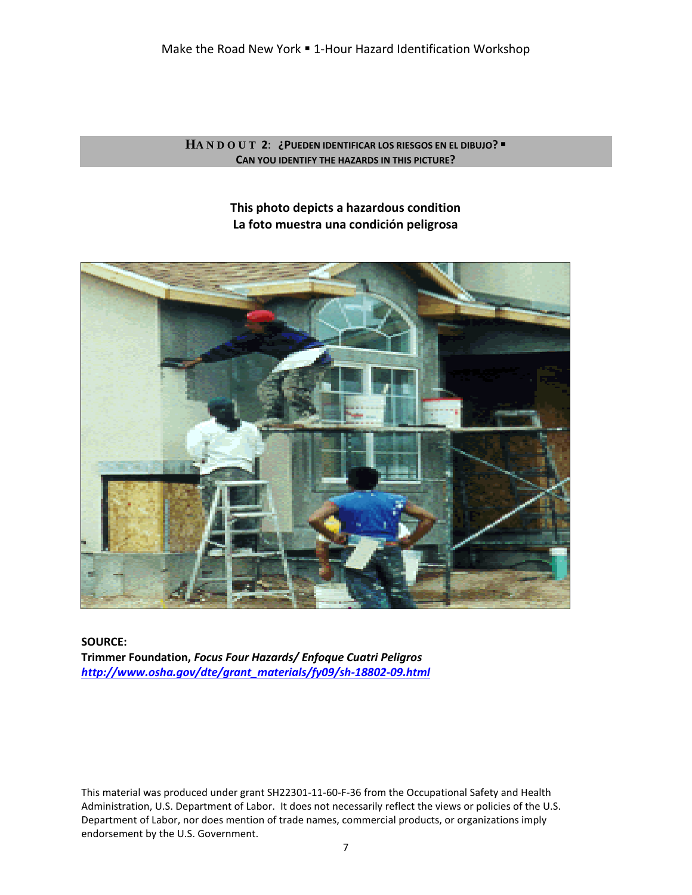**HA N D O U T 2**: **¿PUEDEN IDENTIFICAR LOS RIESGOS EN EL DIBUJO? CAN YOU IDENTIFY THE HAZARDS IN THIS PICTURE?**

> **This photo depicts a hazardous condition La foto muestra una condición peligrosa**



**SOURCE: Trimmer Foundation,** *Focus Four Hazards/ Enfoque Cuatri Peligros [http://www.osha.gov/dte/grant\\_materials/fy09/sh-18802-09.html](http://www.osha.gov/dte/grant_materials/fy09/sh-18802-09.html)*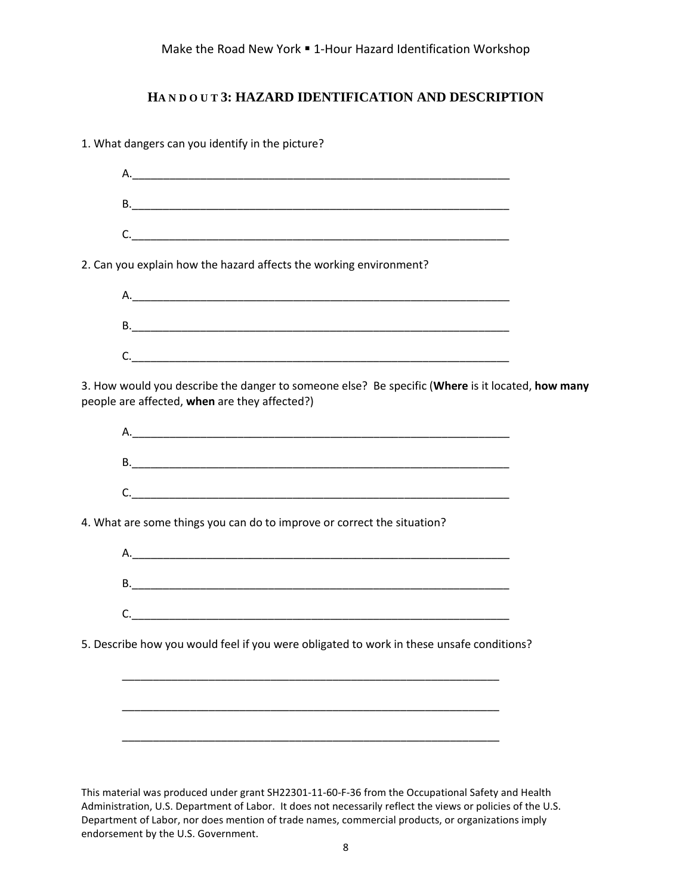# **HA N D O U T 3: HAZARD IDENTIFICATION AND DESCRIPTION**

1. What dangers can you identify in the picture?

| 2. Can you explain how the hazard affects the working environment?                                                                                |  |
|---------------------------------------------------------------------------------------------------------------------------------------------------|--|
|                                                                                                                                                   |  |
|                                                                                                                                                   |  |
| C.                                                                                                                                                |  |
| 3. How would you describe the danger to someone else? Be specific (Where is it located, how many<br>people are affected, when are they affected?) |  |
|                                                                                                                                                   |  |
|                                                                                                                                                   |  |
| C.                                                                                                                                                |  |
| 4. What are some things you can do to improve or correct the situation?                                                                           |  |
|                                                                                                                                                   |  |
|                                                                                                                                                   |  |
|                                                                                                                                                   |  |
| 5. Describe how you would feel if you were obligated to work in these unsafe conditions?                                                          |  |
|                                                                                                                                                   |  |
|                                                                                                                                                   |  |
|                                                                                                                                                   |  |
|                                                                                                                                                   |  |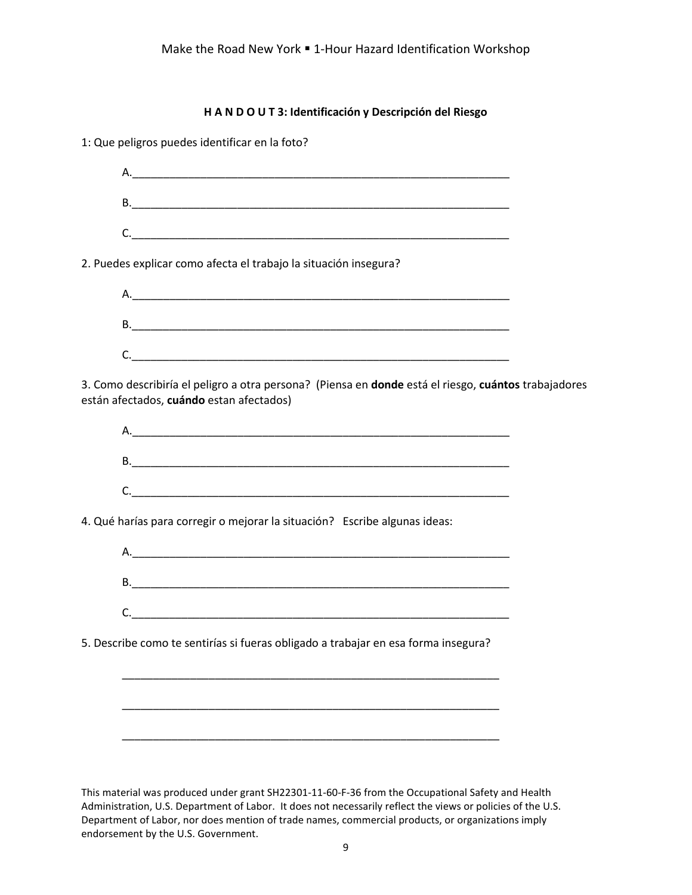| H A N D O U T 3: Identificación y Descripción del Riesgo                                                                                                                                                                       |  |
|--------------------------------------------------------------------------------------------------------------------------------------------------------------------------------------------------------------------------------|--|
| 1: Que peligros puedes identificar en la foto?                                                                                                                                                                                 |  |
|                                                                                                                                                                                                                                |  |
|                                                                                                                                                                                                                                |  |
| C.                                                                                                                                                                                                                             |  |
| 2. Puedes explicar como afecta el trabajo la situación insegura?                                                                                                                                                               |  |
|                                                                                                                                                                                                                                |  |
| B. The contract of the contract of the contract of the contract of the contract of the contract of the contract of the contract of the contract of the contract of the contract of the contract of the contract of the contrac |  |
| C.                                                                                                                                                                                                                             |  |
| 3. Como describiría el peligro a otra persona? (Piensa en donde está el riesgo, cuántos trabajadores<br>están afectados, cuándo estan afectados)                                                                               |  |
|                                                                                                                                                                                                                                |  |
|                                                                                                                                                                                                                                |  |
| C.                                                                                                                                                                                                                             |  |
| 4. Qué harías para corregir o mejorar la situación? Escribe algunas ideas:                                                                                                                                                     |  |
|                                                                                                                                                                                                                                |  |
|                                                                                                                                                                                                                                |  |
| C.                                                                                                                                                                                                                             |  |
| 5. Describe como te sentirías si fueras obligado a trabajar en esa forma insegura?                                                                                                                                             |  |
|                                                                                                                                                                                                                                |  |
|                                                                                                                                                                                                                                |  |
|                                                                                                                                                                                                                                |  |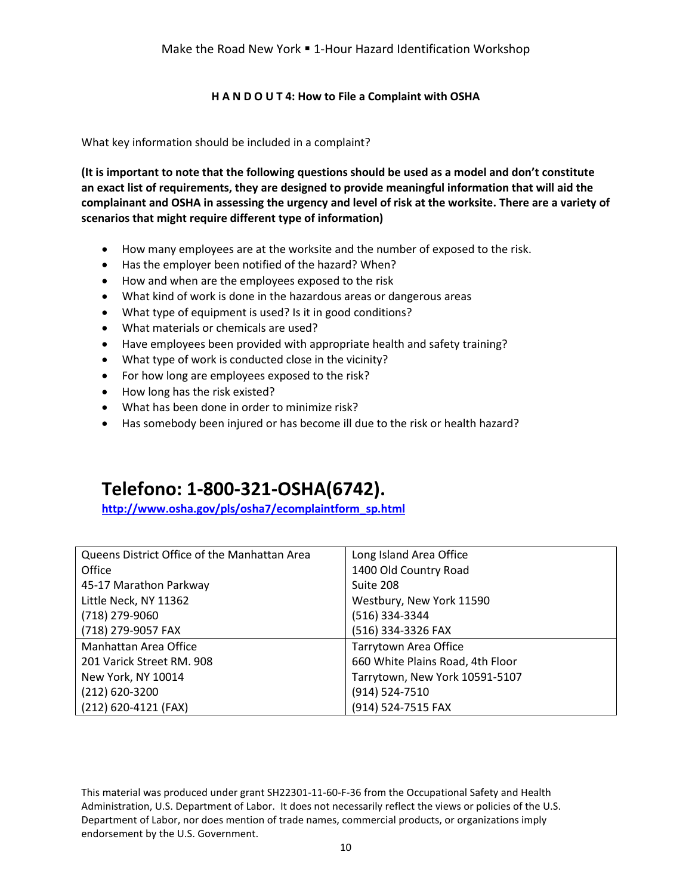# **H A N D O U T 4: How to File a Complaint with OSHA**

What key information should be included in a complaint?

**(It is important to note that the following questions should be used as a model and don't constitute an exact list of requirements, they are designed to provide meaningful information that will aid the complainant and OSHA in assessing the urgency and level of risk at the worksite. There are a variety of scenarios that might require different type of information)**

- How many employees are at the worksite and the number of exposed to the risk.
- Has the employer been notified of the hazard? When?
- How and when are the employees exposed to the risk
- What kind of work is done in the hazardous areas or dangerous areas
- What type of equipment is used? Is it in good conditions?
- What materials or chemicals are used?
- Have employees been provided with appropriate health and safety training?
- What type of work is conducted close in the vicinity?
- For how long are employees exposed to the risk?
- How long has the risk existed?
- What has been done in order to minimize risk?
- Has somebody been injured or has become ill due to the risk or health hazard?

# **Telefono: 1-800-321-OSHA(6742).**

**[http://www.osha.gov/pls/osha7/ecomplaintform\\_sp.html](http://www.osha.gov/pls/osha7/ecomplaintform_sp.html)**

| Queens District Office of the Manhattan Area | Long Island Area Office          |
|----------------------------------------------|----------------------------------|
| Office                                       | 1400 Old Country Road            |
| 45-17 Marathon Parkway                       | Suite 208                        |
| Little Neck, NY 11362                        | Westbury, New York 11590         |
| (718) 279-9060                               | (516) 334-3344                   |
| (718) 279-9057 FAX                           | (516) 334-3326 FAX               |
| Manhattan Area Office                        | Tarrytown Area Office            |
| 201 Varick Street RM. 908                    | 660 White Plains Road, 4th Floor |
| New York, NY 10014                           | Tarrytown, New York 10591-5107   |
| (212) 620-3200                               | (914) 524-7510                   |
| (212) 620-4121 (FAX)                         | (914) 524-7515 FAX               |